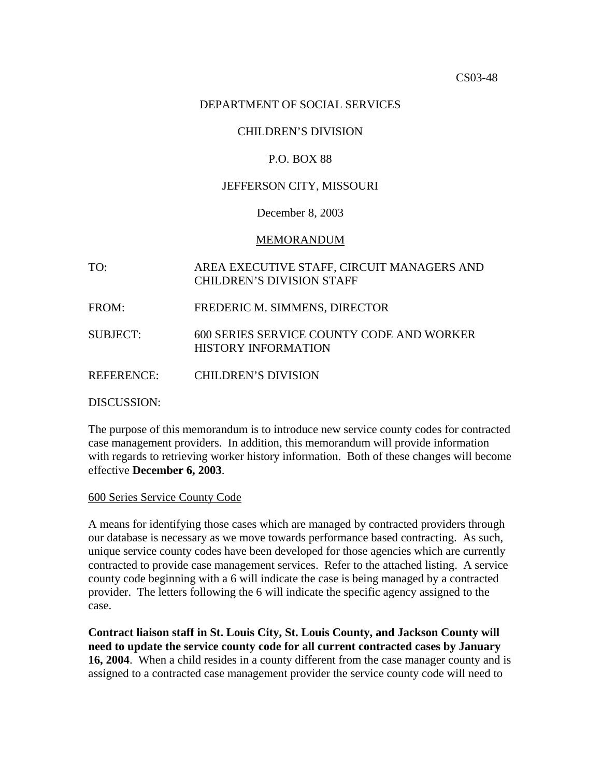#### DEPARTMENT OF SOCIAL SERVICES

## CHILDREN'S DIVISION

#### P.O. BOX 88

#### JEFFERSON CITY, MISSOURI

#### December 8, 2003

#### MEMORANDUM

# TO: AREA EXECUTIVE STAFF, CIRCUIT MANAGERS AND CHILDREN'S DIVISION STAFF

- FROM: FREDERIC M. SIMMENS, DIRECTOR
- SUBJECT: 600 SERIES SERVICE COUNTY CODE AND WORKER HISTORY INFORMATION

REFERENCE: CHILDREN'S DIVISION

DISCUSSION:

The purpose of this memorandum is to introduce new service county codes for contracted case management providers. In addition, this memorandum will provide information with regards to retrieving worker history information. Both of these changes will become effective **December 6, 2003**.

600 Series Service County Code

A means for identifying those cases which are managed by contracted providers through our database is necessary as we move towards performance based contracting. As such, unique service county codes have been developed for those agencies which are currently contracted to provide case management services. Refer to the attached listing. A service county code beginning with a 6 will indicate the case is being managed by a contracted provider. The letters following the 6 will indicate the specific agency assigned to the case.

**Contract liaison staff in St. Louis City, St. Louis County, and Jackson County will need to update the service county code for all current contracted cases by January 16, 2004**. When a child resides in a county different from the case manager county and is assigned to a contracted case management provider the service county code will need to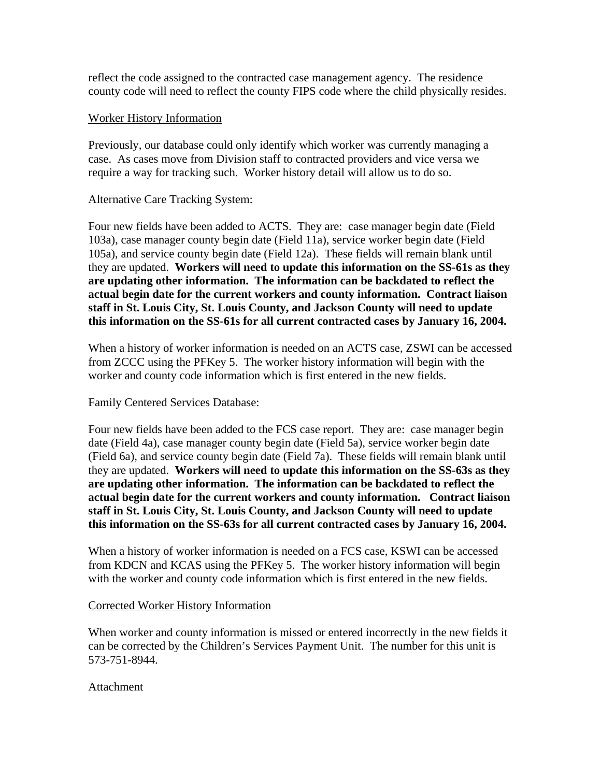reflect the code assigned to the contracted case management agency. The residence county code will need to reflect the county FIPS code where the child physically resides.

## Worker History Information

Previously, our database could only identify which worker was currently managing a case. As cases move from Division staff to contracted providers and vice versa we require a way for tracking such. Worker history detail will allow us to do so.

# Alternative Care Tracking System:

Four new fields have been added to ACTS. They are: case manager begin date (Field 103a), case manager county begin date (Field 11a), service worker begin date (Field 105a), and service county begin date (Field 12a). These fields will remain blank until they are updated. **Workers will need to update this information on the SS-61s as they are updating other information. The information can be backdated to reflect the actual begin date for the current workers and county information. Contract liaison staff in St. Louis City, St. Louis County, and Jackson County will need to update this information on the SS-61s for all current contracted cases by January 16, 2004.**

When a history of worker information is needed on an ACTS case, ZSWI can be accessed from ZCCC using the PFKey 5. The worker history information will begin with the worker and county code information which is first entered in the new fields.

# Family Centered Services Database:

Four new fields have been added to the FCS case report. They are: case manager begin date (Field 4a), case manager county begin date (Field 5a), service worker begin date (Field 6a), and service county begin date (Field 7a). These fields will remain blank until they are updated. **Workers will need to update this information on the SS-63s as they are updating other information. The information can be backdated to reflect the actual begin date for the current workers and county information. Contract liaison staff in St. Louis City, St. Louis County, and Jackson County will need to update this information on the SS-63s for all current contracted cases by January 16, 2004.**

When a history of worker information is needed on a FCS case, KSWI can be accessed from KDCN and KCAS using the PFKey 5. The worker history information will begin with the worker and county code information which is first entered in the new fields.

### Corrected Worker History Information

When worker and county information is missed or entered incorrectly in the new fields it can be corrected by the Children's Services Payment Unit. The number for this unit is 573-751-8944.

### Attachment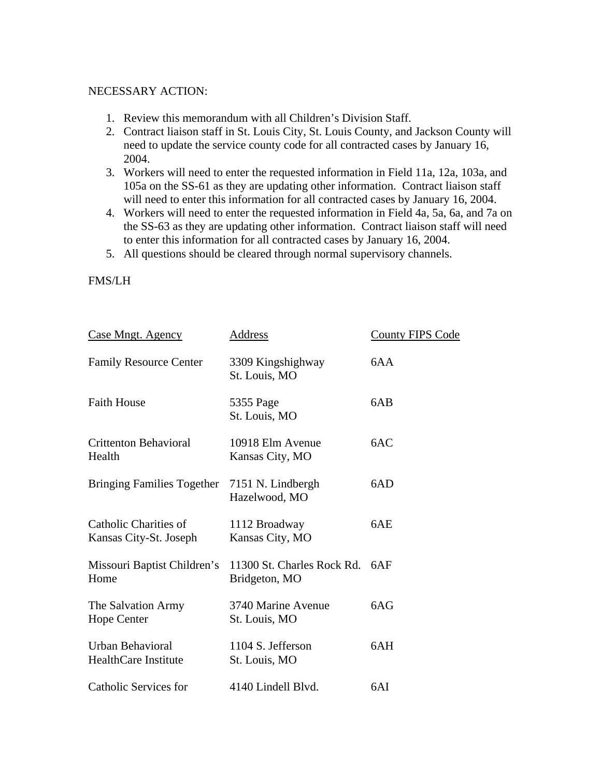### NECESSARY ACTION:

- 1. Review this memorandum with all Children's Division Staff.
- 2. Contract liaison staff in St. Louis City, St. Louis County, and Jackson County will need to update the service county code for all contracted cases by January 16, 2004.
- 3. Workers will need to enter the requested information in Field 11a, 12a, 103a, and 105a on the SS-61 as they are updating other information. Contract liaison staff will need to enter this information for all contracted cases by January 16, 2004.
- 4. Workers will need to enter the requested information in Field 4a, 5a, 6a, and 7a on the SS-63 as they are updating other information. Contract liaison staff will need to enter this information for all contracted cases by January 16, 2004.
- 5. All questions should be cleared through normal supervisory channels.

# FMS/LH

| <b>Case Mngt. Agency</b>                               | <b>Address</b>                              | <b>County FIPS Code</b> |
|--------------------------------------------------------|---------------------------------------------|-------------------------|
| <b>Family Resource Center</b>                          | 3309 Kingshighway<br>St. Louis, MO          | 6AA                     |
| <b>Faith House</b>                                     | 5355 Page<br>St. Louis, MO                  | 6AB                     |
| <b>Crittenton Behavioral</b><br>Health                 | 10918 Elm Avenue<br>Kansas City, MO         | 6AC                     |
| Bringing Families Together 7151 N. Lindbergh           | Hazelwood, MO                               | 6AD                     |
| Catholic Charities of<br>Kansas City-St. Joseph        | 1112 Broadway<br>Kansas City, MO            | 6AE                     |
| Missouri Baptist Children's<br>Home                    | 11300 St. Charles Rock Rd.<br>Bridgeton, MO | 6AF                     |
| The Salvation Army<br><b>Hope Center</b>               | 3740 Marine Avenue<br>St. Louis, MO         | 6AG                     |
| <b>Urban Behavioral</b><br><b>HealthCare Institute</b> | 1104 S. Jefferson<br>St. Louis, MO          | 6AH                     |
| <b>Catholic Services for</b>                           | 4140 Lindell Blyd.                          | 6AI                     |